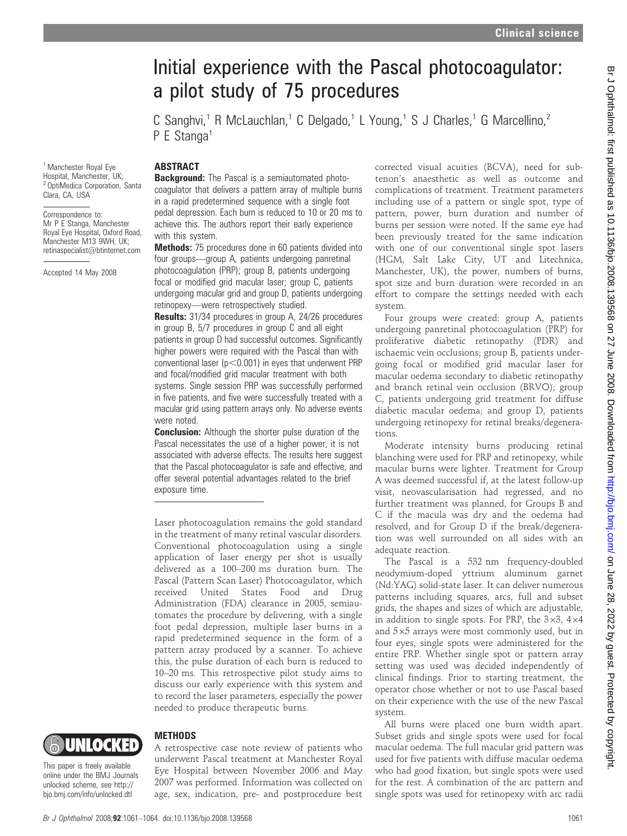# Initial experience with the Pascal photocoagulator: a pilot study of 75 procedures

C Sanghvi,<sup>1</sup> R McLauchlan,<sup>1</sup> C Delgado,<sup>1</sup> L Young,<sup>1</sup> S J Charles,<sup>1</sup> G Marcellino,<sup>2</sup> P E Stanga<sup>1</sup>

<sup>1</sup> Manchester Royal Eye Hospital, Manchester, UK; <sup>2</sup> OptiMedica Corporation, Santa Clara, CA, USA

Correspondence to: Mr P E Stanga, Manchester Royal Eye Hospital, Oxford Road, Manchester M13 9WH, UK; retinaspecialist@btinternet.com

Accepted 14 May 2008

## **ABSTRACT**

**Background:** The Pascal is a semiautomated photocoagulator that delivers a pattern array of multiple burns in a rapid predetermined sequence with a single foot pedal depression. Each burn is reduced to 10 or 20 ms to achieve this. The authors report their early experience with this system.

Methods: 75 procedures done in 60 patients divided into four groups—group A, patients undergoing panretinal photocoagulation (PRP); group B, patients undergoing focal or modified grid macular laser; group C, patients undergoing macular grid and group D, patients undergoing retinopexy—were retrospectively studied.

**Results:** 31/34 procedures in group A, 24/26 procedures in group B, 5/7 procedures in group C and all eight patients in group D had successful outcomes. Significantly higher powers were required with the Pascal than with conventional laser ( $p<0.001$ ) in eyes that underwent PRP and focal/modified grid macular treatment with both systems. Single session PRP was successfully performed in five patients, and five were successfully treated with a macular grid using pattern arrays only. No adverse events were noted.

**Conclusion:** Although the shorter pulse duration of the Pascal necessitates the use of a higher power, it is not associated with adverse effects. The results here suggest that the Pascal photocoagulator is safe and effective, and offer several potential advantages related to the brief exposure time.

Laser photocoagulation remains the gold standard in the treatment of many retinal vascular disorders. Conventional photocoagulation using a single application of laser energy per shot is usually delivered as a 100–200 ms duration burn. The Pascal (Pattern Scan Laser) Photocoagulator, which received United States Food and Drug Administration (FDA) clearance in 2005, semiautomates the procedure by delivering, with a single foot pedal depression, multiple laser burns in a rapid predetermined sequence in the form of a pattern array produced by a scanner. To achieve this, the pulse duration of each burn is reduced to 10–20 ms. This retrospective pilot study aims to discuss our early experience with this system and to record the laser parameters, especially the power needed to produce therapeutic burns.



This paper is freely available online under the BMJ Journals unlocked scheme, see http:// bjo.bmj.com/info/unlocked.dtl

## **METHODS**

A retrospective case note review of patients who underwent Pascal treatment at Manchester Royal Eye Hospital between November 2006 and May 2007 was performed. Information was collected on age, sex, indication, pre- and postprocedure best corrected visual acuities (BCVA), need for subtenon's anaesthetic as well as outcome and complications of treatment. Treatment parameters including use of a pattern or single spot, type of pattern, power, burn duration and number of burns per session were noted. If the same eye had been previously treated for the same indication with one of our conventional single spot lasers (HGM, Salt Lake City, UT and Litechnica, Manchester, UK), the power, numbers of burns, spot size and burn duration were recorded in an effort to compare the settings needed with each system.

Four groups were created: group A, patients undergoing panretinal photocoagulation (PRP) for proliferative diabetic retinopathy (PDR) and ischaemic vein occlusions; group B, patients undergoing focal or modified grid macular laser for macular oedema secondary to diabetic retinopathy and branch retinal vein occlusion (BRVO); group C, patients undergoing grid treatment for diffuse diabetic macular oedema; and group D, patients undergoing retinopexy for retinal breaks/degenerations.

Moderate intensity burns producing retinal blanching were used for PRP and retinopexy, while macular burns were lighter. Treatment for Group A was deemed successful if, at the latest follow-up visit, neovascularisation had regressed, and no further treatment was planned, for Groups B and C if the macula was dry and the oedema had resolved, and for Group D if the break/degeneration was well surrounded on all sides with an adequate reaction.

The Pascal is a 532 nm frequency-doubled neodymium-doped yttrium aluminum garnet (Nd:YAG) solid-state laser. It can deliver numerous patterns including squares, arcs, full and subset grids, the shapes and sizes of which are adjustable, in addition to single spots. For PRP, the  $3\times3$ ,  $4\times4$ and  $5\times5$  arrays were most commonly used, but in four eyes, single spots were administered for the entire PRP. Whether single spot or pattern array setting was used was decided independently of clinical findings. Prior to starting treatment, the operator chose whether or not to use Pascal based on their experience with the use of the new Pascal system.

All burns were placed one burn width apart. Subset grids and single spots were used for focal macular oedema. The full macular grid pattern was used for five patients with diffuse macular oedema who had good fixation, but single spots were used for the rest. A combination of the arc pattern and single spots was used for retinopexy with arc radii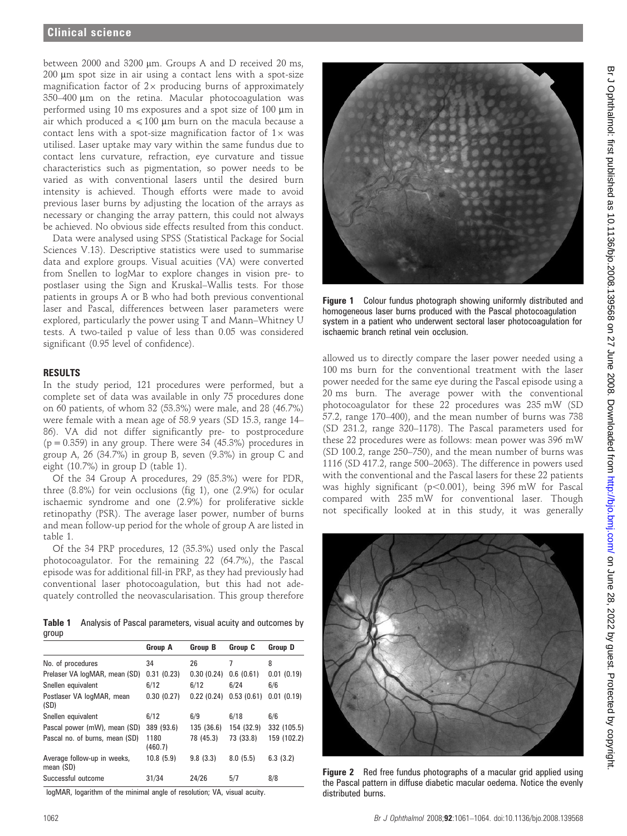between 2000 and 3200 µm. Groups A and D received 20 ms,  $200 \mu m$  spot size in air using a contact lens with a spot-size magnification factor of  $2 \times$  producing burns of approximately  $350-400 \mu m$  on the retina. Macular photocoagulation was performed using 10 ms exposures and a spot size of 100 µm in air which produced a  $\leq 100$  µm burn on the macula because a contact lens with a spot-size magnification factor of  $1\times$  was utilised. Laser uptake may vary within the same fundus due to contact lens curvature, refraction, eye curvature and tissue characteristics such as pigmentation, so power needs to be varied as with conventional lasers until the desired burn intensity is achieved. Though efforts were made to avoid previous laser burns by adjusting the location of the arrays as necessary or changing the array pattern, this could not always be achieved. No obvious side effects resulted from this conduct.

Data were analysed using SPSS (Statistical Package for Social Sciences V.13). Descriptive statistics were used to summarise data and explore groups. Visual acuities (VA) were converted from Snellen to logMar to explore changes in vision pre- to postlaser using the Sign and Kruskal–Wallis tests. For those patients in groups A or B who had both previous conventional laser and Pascal, differences between laser parameters were explored, particularly the power using T and Mann–Whitney U tests. A two-tailed p value of less than 0.05 was considered significant (0.95 level of confidence).

### RESULTS

In the study period, 121 procedures were performed, but a complete set of data was available in only 75 procedures done on 60 patients, of whom 32 (53.3%) were male, and 28 (46.7%) were female with a mean age of 58.9 years (SD 15.3, range 14– 86). VA did not differ significantly pre- to postprocedure  $(p = 0.359)$  in any group. There were 34 (45.3%) procedures in group A, 26 (34.7%) in group B, seven (9.3%) in group C and eight (10.7%) in group D (table 1).

Of the 34 Group A procedures, 29 (85.3%) were for PDR, three (8.8%) for vein occlusions (fig 1), one (2.9%) for ocular ischaemic syndrome and one (2.9%) for proliferative sickle retinopathy (PSR). The average laser power, number of burns and mean follow-up period for the whole of group A are listed in table 1.

Of the 34 PRP procedures, 12 (35.3%) used only the Pascal photocoagulator. For the remaining 22 (64.7%), the Pascal episode was for additional fill-in PRP, as they had previously had conventional laser photocoagulation, but this had not adequately controlled the neovascularisation. This group therefore

Table 1 Analysis of Pascal parameters, visual acuity and outcomes by group

|                                          | <b>Group A</b>  | <b>Group B</b> | Group C    | <b>Group D</b> |
|------------------------------------------|-----------------|----------------|------------|----------------|
| No. of procedures                        | 34              | 26             |            | 8              |
| Prelaser VA logMAR, mean (SD)            | 0.31(0.23)      | 0.30(0.24)     | 0.6(0.61)  | 0.01(0.19)     |
| Snellen equivalent                       | 6/12            | 6/12           | 6/24       | 6/6            |
| Postlaser VA logMAR, mean<br>(SD)        | 0.30(0.27)      | 0.22(0.24)     | 0.53(0.61) | 0.01(0.19)     |
| Snellen equivalent                       | 6/12            | 6/9            | 6/18       | 6/6            |
| Pascal power (mW), mean (SD)             | 389 (93.6)      | 135 (36.6)     | 154 (32.9) | 332 (105.5)    |
| Pascal no. of burns, mean (SD)           | 1180<br>(460.7) | 78 (45.3)      | 73 (33.8)  | 159 (102.2)    |
| Average follow-up in weeks,<br>mean (SD) | 10.8(5.9)       | 9.8(3.3)       | 8.0(5.5)   | 6.3(3.2)       |
| Successful outcome                       | 31/34           | 24/26          | 5/7        | 8/8            |

logMAR, logarithm of the minimal angle of resolution; VA, visual acuity.



Figure 1 Colour fundus photograph showing uniformly distributed and homogeneous laser burns produced with the Pascal photocoagulation system in a patient who underwent sectoral laser photocoagulation for ischaemic branch retinal vein occlusion.

allowed us to directly compare the laser power needed using a 100 ms burn for the conventional treatment with the laser power needed for the same eye during the Pascal episode using a 20 ms burn. The average power with the conventional photocoagulator for these 22 procedures was 235 mW (SD 57.2, range 170–400), and the mean number of burns was 738 (SD 231.2, range 320–1178). The Pascal parameters used for these 22 procedures were as follows: mean power was 396 mW (SD 100.2, range 250–750), and the mean number of burns was 1116 (SD 417.2, range 500–2063). The difference in powers used with the conventional and the Pascal lasers for these 22 patients was highly significant ( $p<0.001$ ), being 396 mW for Pascal compared with 235 mW for conventional laser. Though not specifically looked at in this study, it was generally



Figure 2 Red free fundus photographs of a macular grid applied using the Pascal pattern in diffuse diabetic macular oedema. Notice the evenly distributed burns.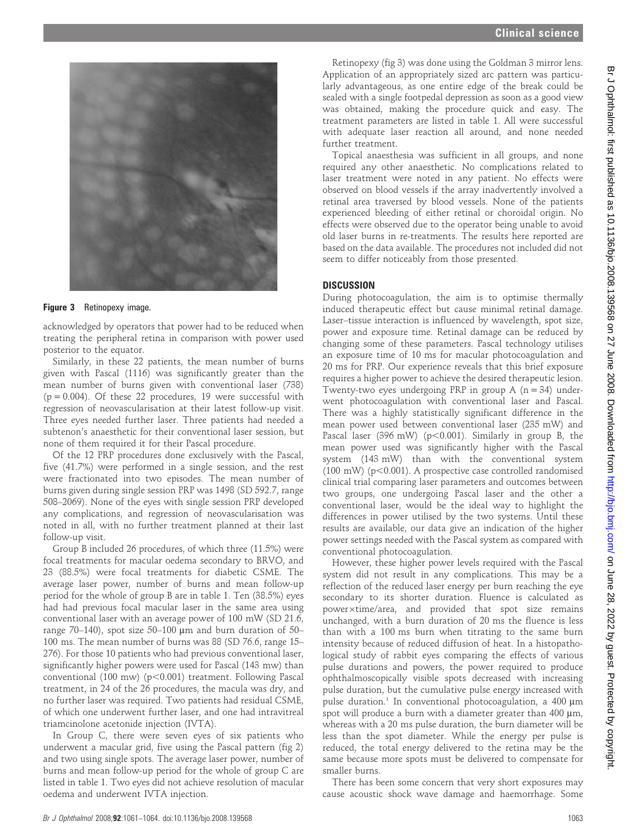

#### Figure 3 Retinopexy image.

acknowledged by operators that power had to be reduced when treating the peripheral retina in comparison with power used posterior to the equator.

Similarly, in these 22 patients, the mean number of burns given with Pascal (1116) was significantly greater than the mean number of burns given with conventional laser (738)  $(p = 0.004)$ . Of these 22 procedures, 19 were successful with regression of neovascularisation at their latest follow-up visit. Three eyes needed further laser. Three patients had needed a subtenon's anaesthetic for their conventional laser session, but none of them required it for their Pascal procedure.

Of the 12 PRP procedures done exclusively with the Pascal, five (41.7%) were performed in a single session, and the rest were fractionated into two episodes. The mean number of burns given during single session PRP was 1498 (SD 592.7, range 508–2069). None of the eyes with single session PRP developed any complications, and regression of neovascularisation was noted in all, with no further treatment planned at their last follow-up visit.

Group B included 26 procedures, of which three (11.5%) were focal treatments for macular oedema secondary to BRVO, and 23 (88.5%) were focal treatments for diabetic CSME. The average laser power, number of burns and mean follow-up period for the whole of group B are in table 1. Ten (38.5%) eyes had had previous focal macular laser in the same area using conventional laser with an average power of 100 mW (SD 21.6, range 70–140), spot size 50–100  $\mu$ m and burn duration of 50– 100 ms. The mean number of burns was 88 (SD 76.6, range 15– 276). For those 10 patients who had previous conventional laser, significantly higher powers were used for Pascal (143 mw) than conventional (100 mw) ( $p<0.001$ ) treatment. Following Pascal treatment, in 24 of the 26 procedures, the macula was dry, and no further laser was required. Two patients had residual CSME, of which one underwent further laser, and one had intravitreal triamcinolone acetonide injection (IVTA).

In Group C, there were seven eyes of six patients who underwent a macular grid, five using the Pascal pattern (fig 2) and two using single spots. The average laser power, number of burns and mean follow-up period for the whole of group C are listed in table 1. Two eyes did not achieve resolution of macular oedema and underwent IVTA injection.

Retinopexy (fig 3) was done using the Goldman 3 mirror lens. Application of an appropriately sized arc pattern was particularly advantageous, as one entire edge of the break could be sealed with a single footpedal depression as soon as a good view was obtained, making the procedure quick and easy. The treatment parameters are listed in table 1. All were successful with adequate laser reaction all around, and none needed further treatment.

Topical anaesthesia was sufficient in all groups, and none required any other anaesthetic. No complications related to laser treatment were noted in any patient. No effects were observed on blood vessels if the array inadvertently involved a retinal area traversed by blood vessels. None of the patients experienced bleeding of either retinal or choroidal origin. No effects were observed due to the operator being unable to avoid old laser burns in re-treatments. The results here reported are based on the data available. The procedures not included did not seem to differ noticeably from those presented.

#### **DISCUSSION**

During photocoagulation, the aim is to optimise thermally induced therapeutic effect but cause minimal retinal damage. Laser–tissue interaction is influenced by wavelength, spot size, power and exposure time. Retinal damage can be reduced by changing some of these parameters. Pascal technology utilises an exposure time of 10 ms for macular photocoagulation and 20 ms for PRP. Our experience reveals that this brief exposure requires a higher power to achieve the desired therapeutic lesion. Twenty-two eyes undergoing PRP in group A  $(n = 34)$  underwent photocoagulation with conventional laser and Pascal. There was a highly statistically significant difference in the mean power used between conventional laser (235 mW) and Pascal laser (396 mW) ( $p<0.001$ ). Similarly in group B, the mean power used was significantly higher with the Pascal system (143 mW) than with the conventional system (100 mW) ( $p<0.001$ ). A prospective case controlled randomised clinical trial comparing laser parameters and outcomes between two groups, one undergoing Pascal laser and the other a conventional laser, would be the ideal way to highlight the differences in power utilised by the two systems. Until these results are available, our data give an indication of the higher power settings needed with the Pascal system as compared with conventional photocoagulation.

However, these higher power levels required with the Pascal system did not result in any complications. This may be a reflection of the reduced laser energy per burn reaching the eye secondary to its shorter duration. Fluence is calculated as power×time/area, and provided that spot size remains unchanged, with a burn duration of 20 ms the fluence is less than with a 100 ms burn when titrating to the same burn intensity because of reduced diffusion of heat. In a histopathological study of rabbit eyes comparing the effects of various pulse durations and powers, the power required to produce ophthalmoscopically visible spots decreased with increasing pulse duration, but the cumulative pulse energy increased with pulse duration.<sup>1</sup> In conventional photocoagulation, a 400  $\mu$ m spot will produce a burn with a diameter greater than 400  $\mu$ m, whereas with a 20 ms pulse duration, the burn diameter will be less than the spot diameter. While the energy per pulse is reduced, the total energy delivered to the retina may be the same because more spots must be delivered to compensate for smaller burns.

There has been some concern that very short exposures may cause acoustic shock wave damage and haemorrhage. Some